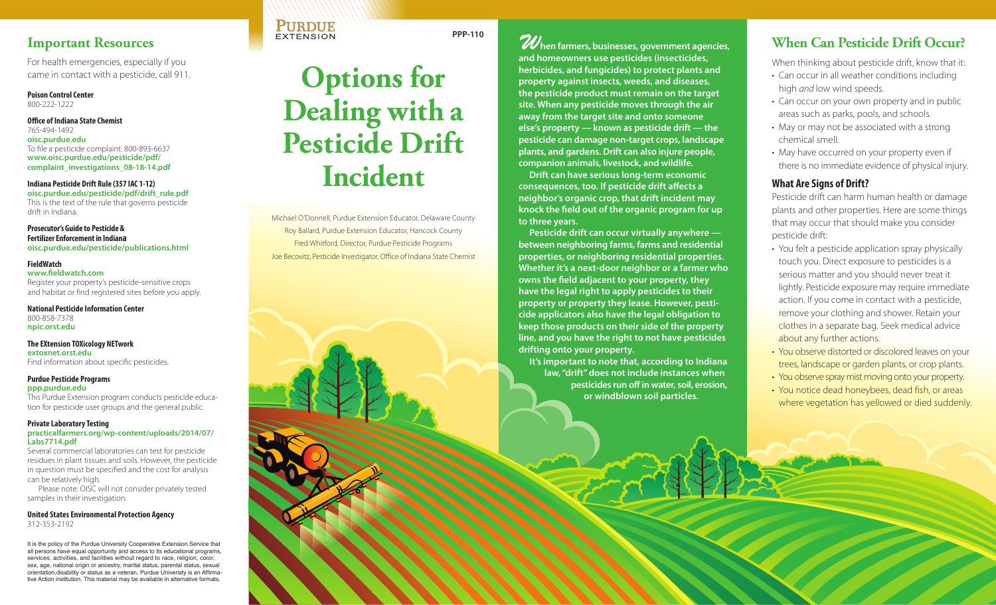## **Important Resources**

For health emergencies, especially if you came in contact with a pesticide, call 911.

**Poison Control Center**  800-222-1222

#### **[Office of Indiana State Chemist](oisc.purdue.edu)**

765-494-1492 **oisc.purdue.edu** To file a pesticide complaint: 800-893-6637 **www.oisc.purdue.edu/pesticide/pdf/ [complaint\\_investigations\\_08-18-14.pdf](www.oisc.purdue.edu/pesticide/pdf/complaint_investigations_08-18-14.pdf)**

#### **Indiana Pesticide Drift Rule (357 IAC 1-12) oisc.purdue.edu/pesticide/pdf/drift\_rule.pdf**

[This is the text of the rule that governs pesticide](oisc.purdue.edu/pesticide/pdf/drift_rule.pdf)  drift in Indiana.

**Prosecutor's Guide to Pesticide & Fertilizer Enforcement in Indiana <oisc.purdue.edu/pesticide/publications.html>**

#### **FieldWatch**

**www.fieldwatch.com** Register your property's pesticide-sensitive crops [and habitat or find registered sites before you apply.](www.fieldwatch.com) 

**[National Pesticide Information Center](npic.orst.edu)** 800-858-7378 **npic.orst.edu**

### **The EXtension TOXicology NETwork**

**extoxnet.orst.edu** [Find information about specific pesticides.](extoxnet.orst.edu)

#### **Purdue Pesticide Programs**

**ppp.purdue.edu** [This Purdue Extension program conducts pesticide educa](ppp.purdue.edu)tion for pesticide user groups and the general public.

#### **Private Laboratory Testing**

#### **practicalfarmers.org/wp-content/uploads/2014/07/ Labs7714.pdf**

Several commercial laboratories can test for pesticide [residues in plant tissues and soils. However, the pesticide](http://practicalfarmers.org/wp-content/uploads/2014/07/Labs7714.pdf)  in question must be specified and the cost for analysis can be relatively high.

Please note: OISC will not consider privately tested samples in their investigation.

#### **United States Environmental Protection Agency** 312-353-2192

It is the policy of the Purdue University Cooperative Extension Service that all persons have equal opportunity and access to its educational programs, services, activities, and facilities without regard to race, religion, color, sex, age, national origin or ancestry, marital status, parental status, sexual orientation,disability or status as a veteran. Purdue University is an Affirmative Action institution. This material may be available in alternative formats.



**PURDUE EXTENSION** 

[Michael O'Donnell, Purdue Extension Educator, Delaware County](mailto:modonnel@purdue.edu) [Roy Ballard, Purdue Extension Educator, Hancock County](mailto:rballard@purdue.edu) [Fred Whitford, Director, Purdue Pesticide Programs](mailto:fwhitford@purdue.edu) [Joe Becovitz, Pesticide Investigator, Office of Indiana State Chemist](mailto:becovitzj@purdue.edu)

**PPP-110** *W***hen farmers, businesses, government agencies, and homeowners use pesticides (insecticides, herbicides, and fungicides) to protect plants and property against insects, weeds, and diseases, the pesticide product must remain on the target site. When any pesticide moves through the air away from the target site and onto someone else's property — known as pesticide drift — the pesticide can damage non-target crops, landscape plants, and gardens. Drift can also injure people, companion animals, livestock, and wildlife.**

> **Drift can have serious long-term economic consequences, too. If pesticide drift affects a neighbor's organic crop, that drift incident may knock the field out of the organic program for up to three years.**

**Pesticide drift can occur virtually anywhere between neighboring farms, farms and residential properties, or neighboring residential properties. Whether it's a next-door neighbor or a farmer who owns the field adjacent to your property, they have the legal right to apply pesticides to their property or property they lease. However, pesticide applicators also have the legal obligation to keep those products on their side of the property line, and you have the right to not have pesticides drifting onto your property.**

**It's important to note that, according to Indiana law, "drift" does not include instances when pesticides run off in water, soil, erosion, or windblown soil particles.**

# **When Can Pesticide Drift Occur?**

When thinking about pesticide drift, know that it:

- Can occur in all weather conditions including high *and* low wind speeds.
- Can occur on your own property and in public areas such as parks, pools, and schools.
- May or may not be associated with a strong chemical smell.
- May have occurred on your property even if there is no immediate evidence of physical injury.

## **What Are Signs of Drift?**

Pesticide drift can harm human health or damage plants and other properties. Here are some things that may occur that should make you consider pesticide drift:

- You felt a pesticide application spray physically touch you. Direct exposure to pesticides is a serious matter and you should never treat it lightly. Pesticide exposure may require immediate action. If you come in contact with a pesticide, remove your clothing and shower. Retain your clothes in a separate bag. Seek medical advice about any further actions.
- You observe distorted or discolored leaves on your trees, landscape or garden plants, or crop plants.
- You observe spray mist moving onto your property.
- You notice dead honeybees, dead fish, or areas where vegetation has yellowed or died suddenly.